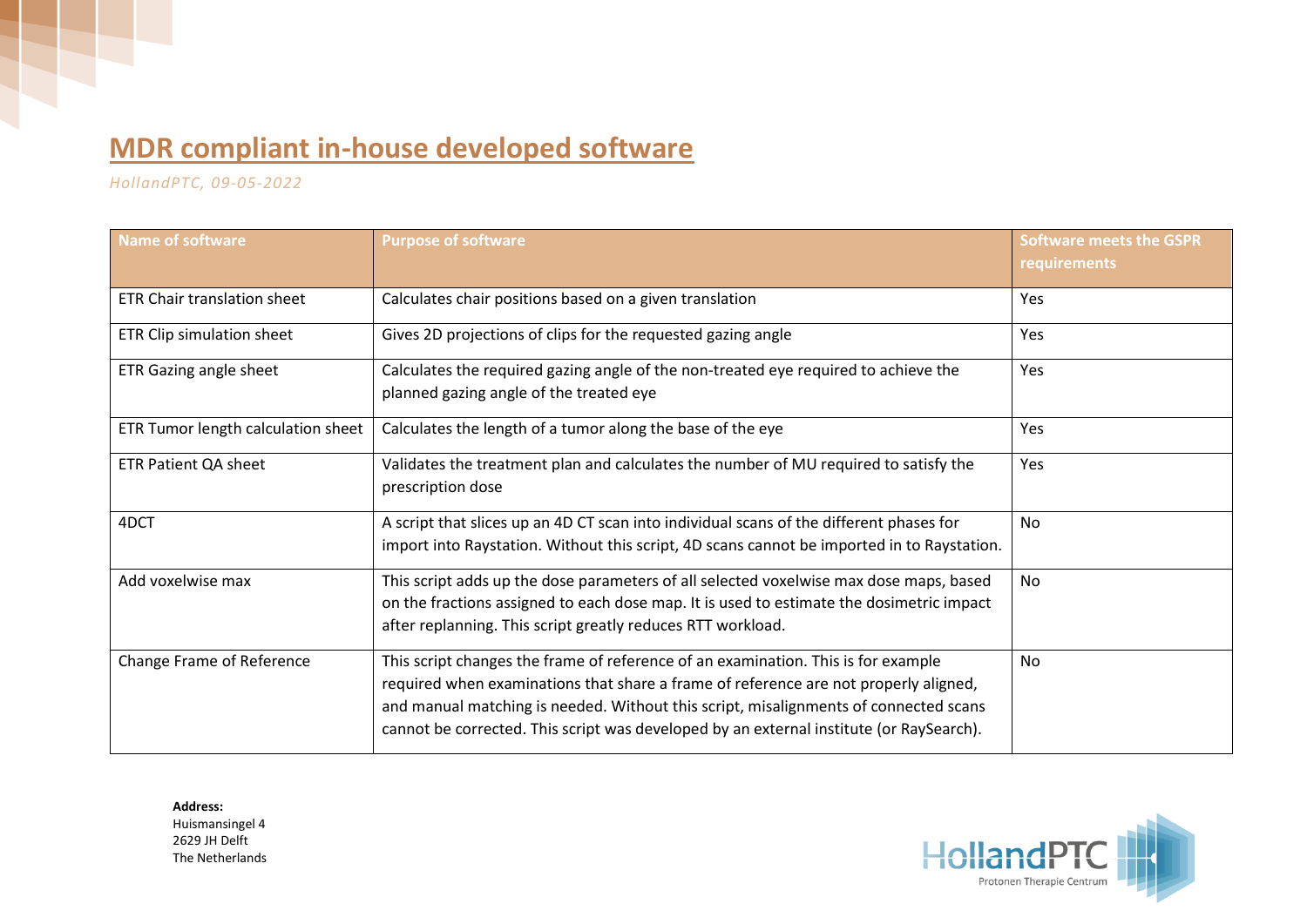## **MDR compliant in-house developed software**

*HollandPTC, 09-05-2022*

| <b>Name of software</b>            | <b>Purpose of software</b>                                                                                                                                                                                                                                                                                                                                   | <b>Software meets the GSPR</b><br>requirements |
|------------------------------------|--------------------------------------------------------------------------------------------------------------------------------------------------------------------------------------------------------------------------------------------------------------------------------------------------------------------------------------------------------------|------------------------------------------------|
| <b>ETR Chair translation sheet</b> | Calculates chair positions based on a given translation                                                                                                                                                                                                                                                                                                      | <b>Yes</b>                                     |
| ETR Clip simulation sheet          | Gives 2D projections of clips for the requested gazing angle                                                                                                                                                                                                                                                                                                 | Yes                                            |
| ETR Gazing angle sheet             | Calculates the required gazing angle of the non-treated eye required to achieve the<br>planned gazing angle of the treated eye                                                                                                                                                                                                                               | Yes                                            |
| ETR Tumor length calculation sheet | Calculates the length of a tumor along the base of the eye                                                                                                                                                                                                                                                                                                   | Yes                                            |
| <b>ETR Patient QA sheet</b>        | Validates the treatment plan and calculates the number of MU required to satisfy the<br>prescription dose                                                                                                                                                                                                                                                    | Yes                                            |
| 4DCT                               | A script that slices up an 4D CT scan into individual scans of the different phases for<br>import into Raystation. Without this script, 4D scans cannot be imported in to Raystation.                                                                                                                                                                        | <b>No</b>                                      |
| Add voxelwise max                  | This script adds up the dose parameters of all selected voxelwise max dose maps, based<br>on the fractions assigned to each dose map. It is used to estimate the dosimetric impact<br>after replanning. This script greatly reduces RTT workload.                                                                                                            | <b>No</b>                                      |
| Change Frame of Reference          | This script changes the frame of reference of an examination. This is for example<br>required when examinations that share a frame of reference are not properly aligned,<br>and manual matching is needed. Without this script, misalignments of connected scans<br>cannot be corrected. This script was developed by an external institute (or RaySearch). | No                                             |

**Address:**  Huismansingel 4 2629 JH Delft The Netherlands

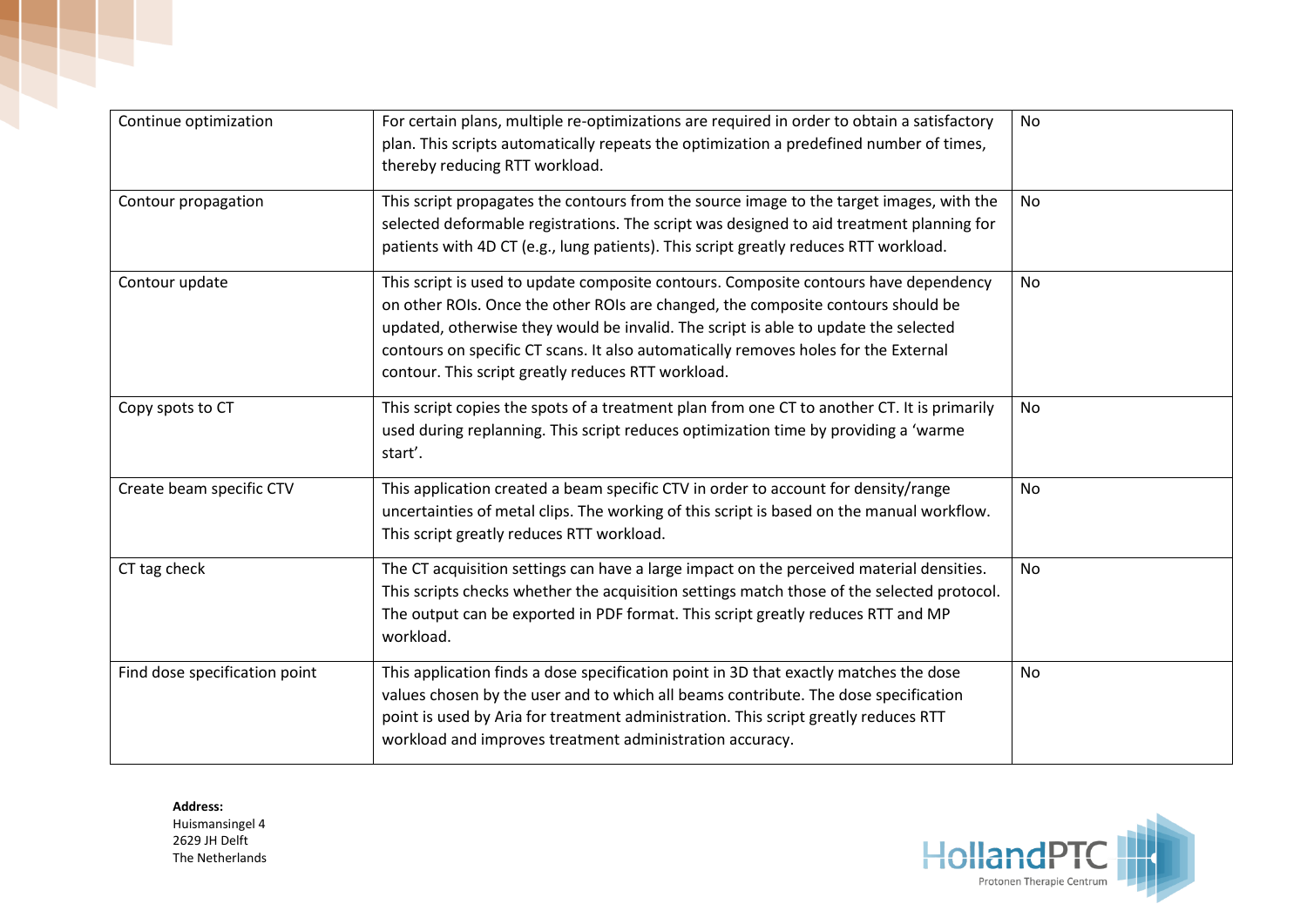| Continue optimization         | For certain plans, multiple re-optimizations are required in order to obtain a satisfactory<br>plan. This scripts automatically repeats the optimization a predefined number of times,<br>thereby reducing RTT workload.                                                                                                                                                                                     | No        |
|-------------------------------|--------------------------------------------------------------------------------------------------------------------------------------------------------------------------------------------------------------------------------------------------------------------------------------------------------------------------------------------------------------------------------------------------------------|-----------|
| Contour propagation           | This script propagates the contours from the source image to the target images, with the<br>selected deformable registrations. The script was designed to aid treatment planning for<br>patients with 4D CT (e.g., lung patients). This script greatly reduces RTT workload.                                                                                                                                 | <b>No</b> |
| Contour update                | This script is used to update composite contours. Composite contours have dependency<br>on other ROIs. Once the other ROIs are changed, the composite contours should be<br>updated, otherwise they would be invalid. The script is able to update the selected<br>contours on specific CT scans. It also automatically removes holes for the External<br>contour. This script greatly reduces RTT workload. | No        |
| Copy spots to CT              | This script copies the spots of a treatment plan from one CT to another CT. It is primarily<br>used during replanning. This script reduces optimization time by providing a 'warme<br>start'.                                                                                                                                                                                                                | <b>No</b> |
| Create beam specific CTV      | This application created a beam specific CTV in order to account for density/range<br>uncertainties of metal clips. The working of this script is based on the manual workflow.<br>This script greatly reduces RTT workload.                                                                                                                                                                                 | No        |
| CT tag check                  | The CT acquisition settings can have a large impact on the perceived material densities.<br>This scripts checks whether the acquisition settings match those of the selected protocol.<br>The output can be exported in PDF format. This script greatly reduces RTT and MP<br>workload.                                                                                                                      | <b>No</b> |
| Find dose specification point | This application finds a dose specification point in 3D that exactly matches the dose<br>values chosen by the user and to which all beams contribute. The dose specification<br>point is used by Aria for treatment administration. This script greatly reduces RTT<br>workload and improves treatment administration accuracy.                                                                              | No        |

**Address:**  Huismansingel 4 2629 JH Delft The Netherlands

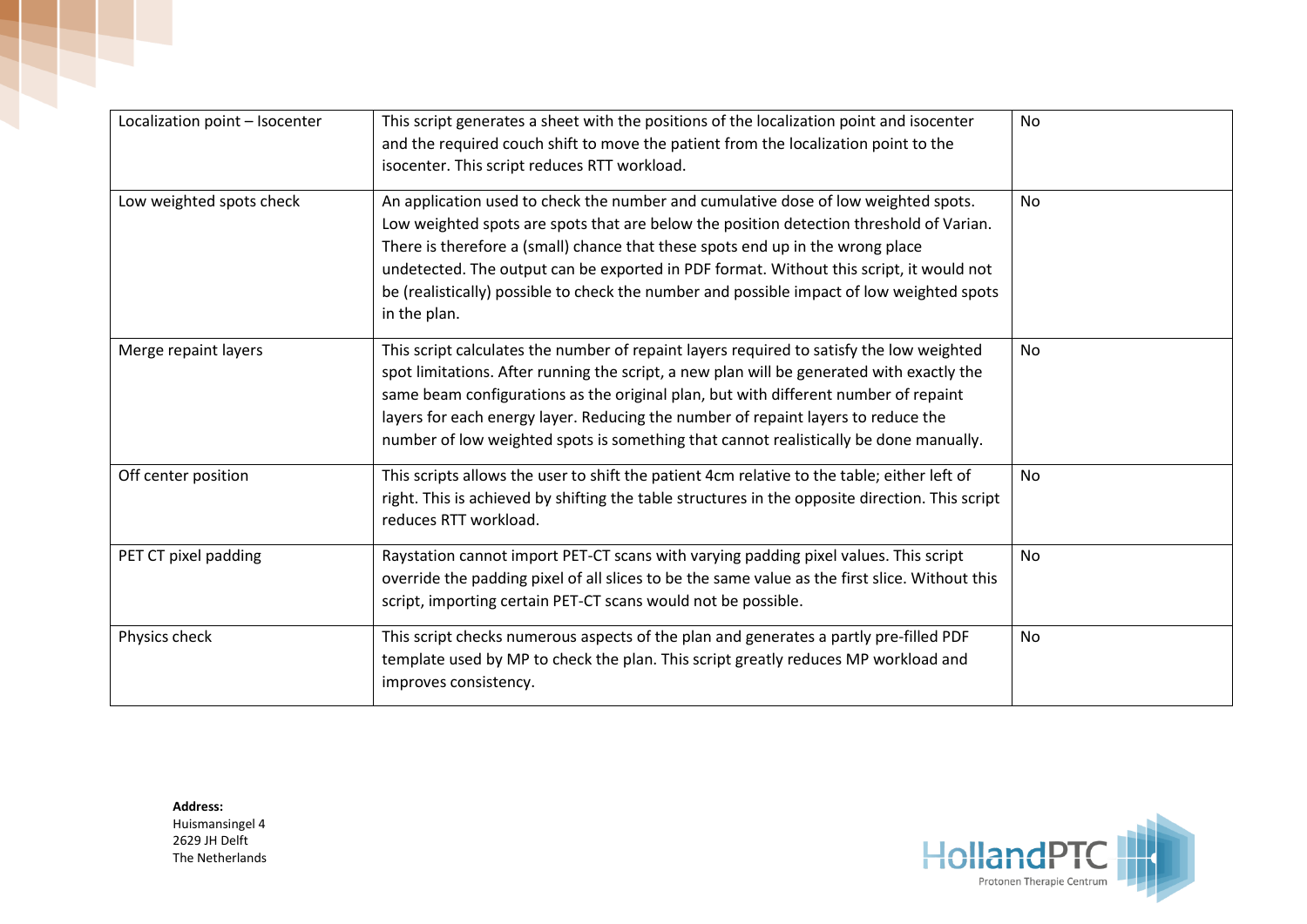| Localization point - Isocenter | This script generates a sheet with the positions of the localization point and isocenter<br>and the required couch shift to move the patient from the localization point to the<br>isocenter. This script reduces RTT workload.                                                                                                                                                                                                                                         | <b>No</b> |
|--------------------------------|-------------------------------------------------------------------------------------------------------------------------------------------------------------------------------------------------------------------------------------------------------------------------------------------------------------------------------------------------------------------------------------------------------------------------------------------------------------------------|-----------|
| Low weighted spots check       | An application used to check the number and cumulative dose of low weighted spots.<br>Low weighted spots are spots that are below the position detection threshold of Varian.<br>There is therefore a (small) chance that these spots end up in the wrong place<br>undetected. The output can be exported in PDF format. Without this script, it would not<br>be (realistically) possible to check the number and possible impact of low weighted spots<br>in the plan. | <b>No</b> |
| Merge repaint layers           | This script calculates the number of repaint layers required to satisfy the low weighted<br>spot limitations. After running the script, a new plan will be generated with exactly the<br>same beam configurations as the original plan, but with different number of repaint<br>layers for each energy layer. Reducing the number of repaint layers to reduce the<br>number of low weighted spots is something that cannot realistically be done manually.              | <b>No</b> |
| Off center position            | This scripts allows the user to shift the patient 4cm relative to the table; either left of<br>right. This is achieved by shifting the table structures in the opposite direction. This script<br>reduces RTT workload.                                                                                                                                                                                                                                                 | No        |
| PET CT pixel padding           | Raystation cannot import PET-CT scans with varying padding pixel values. This script<br>override the padding pixel of all slices to be the same value as the first slice. Without this<br>script, importing certain PET-CT scans would not be possible.                                                                                                                                                                                                                 | No        |
| Physics check                  | This script checks numerous aspects of the plan and generates a partly pre-filled PDF<br>template used by MP to check the plan. This script greatly reduces MP workload and<br>improves consistency.                                                                                                                                                                                                                                                                    | <b>No</b> |

**Address:**  Huismansingel 4 2629 JH Delft The Netherlands